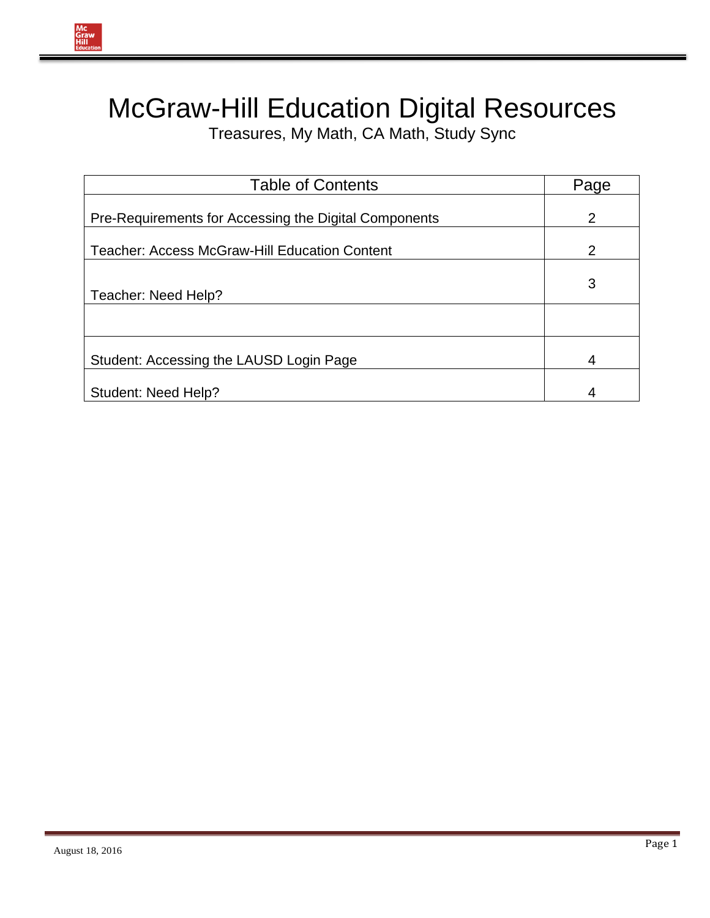

Treasures, My Math, CA Math, Study Sync

| <b>Table of Contents</b>                              | Page           |
|-------------------------------------------------------|----------------|
| Pre-Requirements for Accessing the Digital Components | 2              |
| <b>Teacher: Access McGraw-Hill Education Content</b>  | $\overline{2}$ |
| Teacher: Need Help?                                   | 3              |
|                                                       |                |
| Student: Accessing the LAUSD Login Page               | 4              |
| Student: Need Help?                                   | 4              |

Mc<br>Graw<br>Hill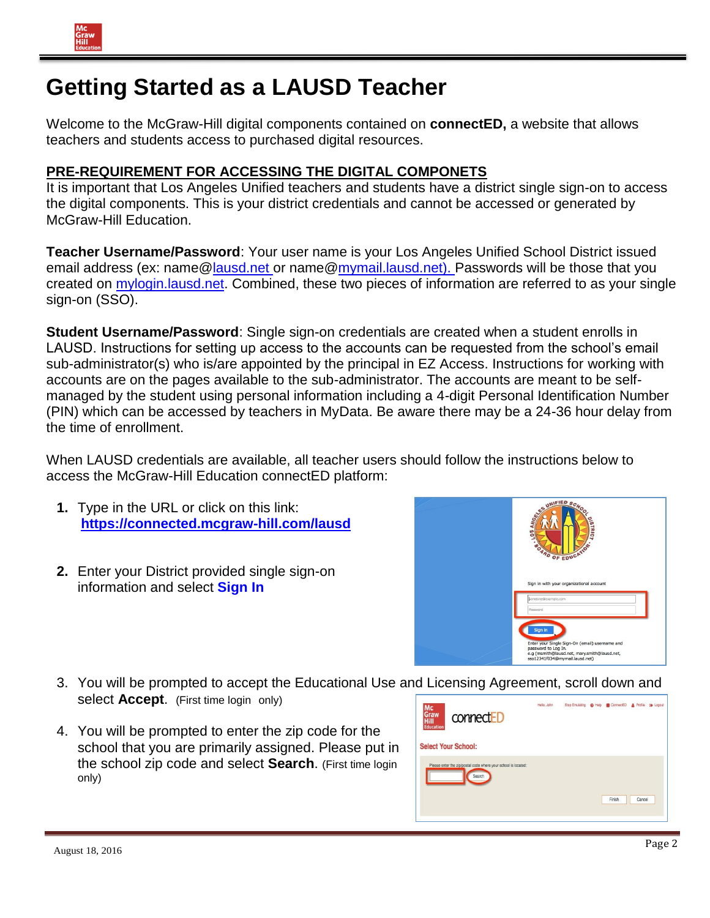## **Getting Started as a LAUSD Teacher**

Welcome to the McGraw-Hill digital components contained on **connectED,** a website that allows teachers and students access to purchased digital resources.

## **PRE-REQUIREMENT FOR ACCESSING THE DIGITAL COMPONETS**

It is important that Los Angeles Unified teachers and students have a district single sign-on to access the digital components. This is your district credentials and cannot be accessed or generated by McGraw-Hill Education.

**Teacher Username/Password**: Your user name is your Los Angeles Unified School District issued email address (e[x: name@lausd.net o](mailto:name@lausd.net)r name@mymail.lausd.net). Passwords will be those that you created on mylogin.lausd.net. Combined, these two pieces of information are referred to as your single sign-on (SSO).

**Student Username/Password**: Single sign-on credentials are created when a student enrolls in LAUSD. Instructions for setting up access to the accounts can be requested from the school's email sub-administrator(s) who is/are appointed by the principal in EZ Access. Instructions for working with accounts are on the pages available to the sub-administrator. The accounts are meant to be selfmanaged by the student using personal information including a 4-digit Personal Identification Number (PIN) which can be accessed by teachers in MyData. Be aware there may be a 24-36 hour delay from the time of enrollment.

When LAUSD credentials are available, all teacher users should follow the instructions below to access the McGraw-Hill Education connectED platform:

- **1.** Type in the URL or click on this link: **[https://connected.mcgraw-hill.com/lausd](https://na01.safelinks.protection.outlook.com/?url=https%3a%2f%2fconnected.mcgraw-hill.com%2flausd&data=01%7c01%7cdth3022%40lausd.net%7cf13b5f095767461153a908d3d8128ac8%7c042a40a1b1284ac48648016ffa121487%7c1&sdata=MeYWpMmU2%2bEneiokPAjOeTnJBxIBfixLuuJfehjiEpI%3d)**
- **2.** Enter your District provided single sign-on information and select **Sign In**



- 3. You will be prompted to accept the Educational Use and Licensing Agreement, scroll down and select **Accept**. (First time login only)
- 4. You will be prompted to enter the zip code for the school that you are primarily assigned. Please put in the school zip code and select **Search**. (First time login only)

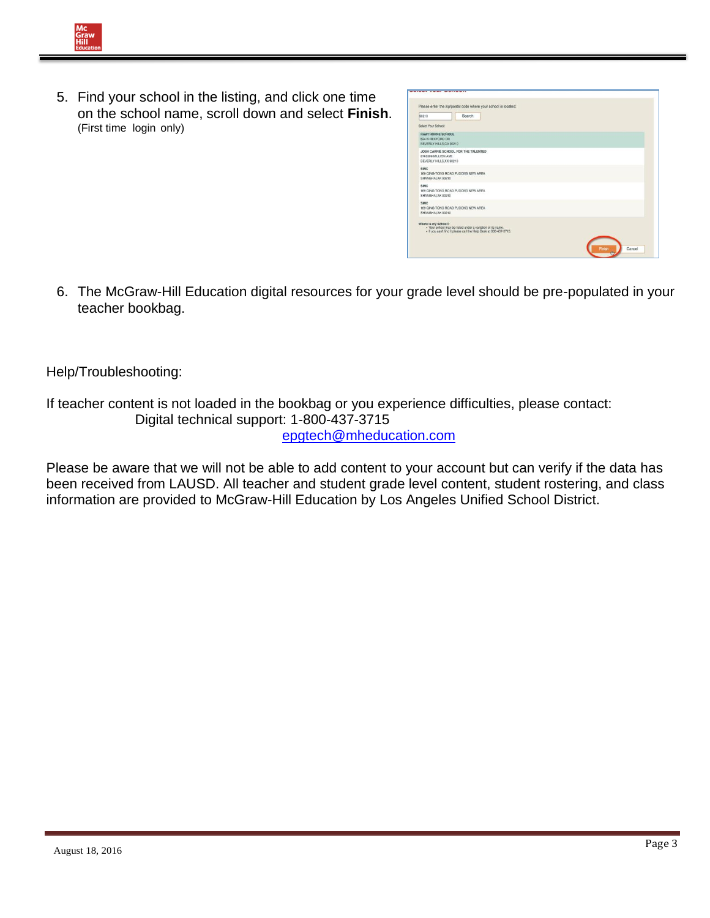

| 90210                                                                  | Search                                                                                                                          |  |
|------------------------------------------------------------------------|---------------------------------------------------------------------------------------------------------------------------------|--|
| Select Your School:                                                    |                                                                                                                                 |  |
| <b>HAWTHORNE SCHOOL</b><br>624 N REXEORD DR<br>BEVERLY HILLS, CA 90210 |                                                                                                                                 |  |
| 8765309 MILLION AVE.<br>BEVERLY HILLS, XX 90210                        | JOSH CARRIE SCHOOL FOR THE TALENTED                                                                                             |  |
| SMC<br>SHANGHALAK 90210                                                | 169 QING-TONG ROAD PUDONG NEW AREA                                                                                              |  |
| <b>SMIC</b><br>SHANGHALAK 90210                                        | 169 QING-TONG ROAD PUDONG NEW AREA                                                                                              |  |
| SMC.<br>SHANGHALAK 90210                                               | 169 QING-TONG ROAD PUDONG NEW AREA                                                                                              |  |
| Where is my School?                                                    | . Your school may be listed under a variation of its name.<br>. If you can't find it please call the Help Desk at 800-437-3715. |  |

6. The McGraw-Hill Education digital resources for your grade level should be pre-populated in your teacher bookbag.

Help/Troubleshooting:

If teacher content is not loaded in the bookbag or you experience difficulties, please contact: Digital technical support: 1-800-437-3715 [epgtech@mheducation.com](mailto:epgtech@mheducation.com)

Please be aware that we will not be able to add content to your account but can verify if the data has been received from LAUSD. All teacher and student grade level content, student rostering, and class information are provided to McGraw-Hill Education by Los Angeles Unified School District.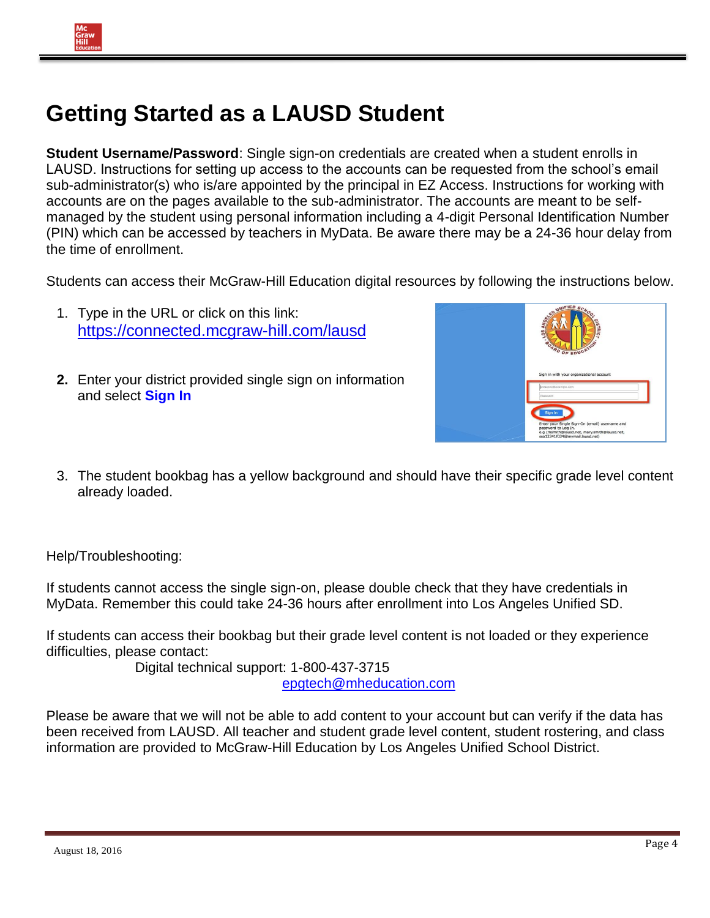## **Getting Started as a LAUSD Student**

**Student Username/Password**: Single sign-on credentials are created when a student enrolls in LAUSD. Instructions for setting up access to the accounts can be requested from the school's email sub-administrator(s) who is/are appointed by the principal in EZ Access. Instructions for working with accounts are on the pages available to the sub-administrator. The accounts are meant to be selfmanaged by the student using personal information including a 4-digit Personal Identification Number (PIN) which can be accessed by teachers in MyData. Be aware there may be a 24-36 hour delay from the time of enrollment.

Students can access their McGraw-Hill Education digital resources by following the instructions below.

- 1. Type in the URL or click on this link: https://connected.mcgraw-hill.com/lausd
- **2.** Enter your district provided single sign on information and select **Sign In**



3. The student bookbag has a yellow background and should have their specific grade level content already loaded.

Help/Troubleshooting:

If students cannot access the single sign-on, please double check that they have credentials in MyData. Remember this could take 24-36 hours after enrollment into Los Angeles Unified SD.

If students can access their bookbag but their grade level content is not loaded or they experience difficulties, please contact:

Digital technical support: 1-800-437-3715 [epgtech@mheducation.com](mailto:epgtech@mheducation.com)

Please be aware that we will not be able to add content to your account but can verify if the data has been received from LAUSD. All teacher and student grade level content, student rostering, and class information are provided to McGraw-Hill Education by Los Angeles Unified School District.